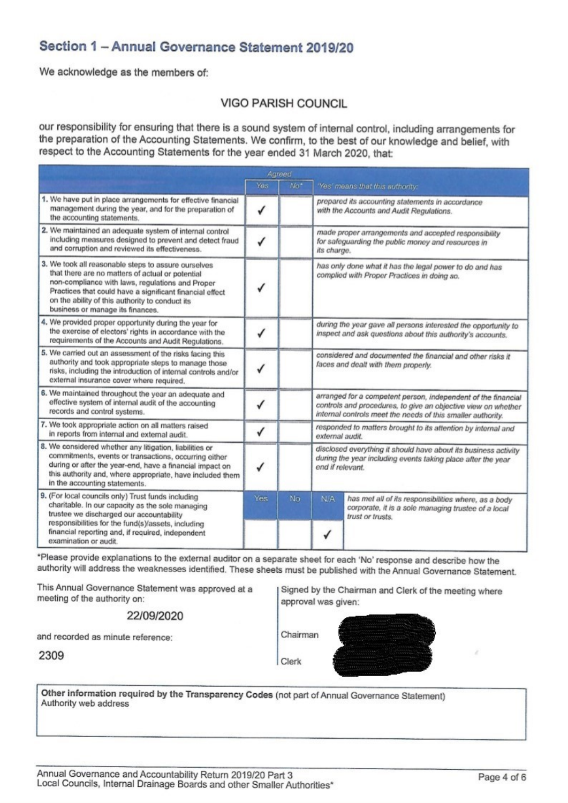## Section 1 - Annual Governance Statement 2019/20

We acknowledge as the members of:

#### **VIGO PARISH COUNCIL**

our responsibility for ensuring that there is a sound system of internal control, including arrangements for the preparation of the Accounting Statements. We confirm, to the best of our knowledge and belief, with respect to the Accounting Statements for the year ended 31 March 2020, that:

| Agreed                                                                                                                                                                                                                                                                                                         |     |     |                                                                                                                                                                                               |                                                                                                                                 |  |  |  |  |
|----------------------------------------------------------------------------------------------------------------------------------------------------------------------------------------------------------------------------------------------------------------------------------------------------------------|-----|-----|-----------------------------------------------------------------------------------------------------------------------------------------------------------------------------------------------|---------------------------------------------------------------------------------------------------------------------------------|--|--|--|--|
|                                                                                                                                                                                                                                                                                                                | Yes | No* |                                                                                                                                                                                               | 'Yes' means that this authority:                                                                                                |  |  |  |  |
| 1. We have put in place arrangements for effective financial<br>management during the year, and for the preparation of<br>the accounting statements.                                                                                                                                                           | √   |     |                                                                                                                                                                                               | prepared its accounting statements in accordance<br>with the Accounts and Audit Regulations.                                    |  |  |  |  |
| 2. We maintained an adequate system of internal control<br>including measures designed to prevent and detect fraud<br>and corruption and reviewed its effectiveness.                                                                                                                                           |     |     | made proper arrangements and accepted responsibility<br>for safeguarding the public money and resources in<br>its charge.                                                                     |                                                                                                                                 |  |  |  |  |
| 3. We took all reasonable steps to assure ourselves<br>that there are no matters of actual or potential<br>non-compliance with laws, regulations and Proper<br>Practices that could have a significant financial effect<br>on the ability of this authority to conduct its<br>business or manage its finances. |     |     | has only done what it has the legal power to do and has<br>complied with Proper Practices in doing so.                                                                                        |                                                                                                                                 |  |  |  |  |
| 4. We provided proper opportunity during the year for<br>the exercise of electors' rights in accordance with the<br>requirements of the Accounts and Audit Regulations.                                                                                                                                        |     |     | during the year gave all persons interested the opportunity to<br>inspect and ask questions about this authority's accounts.                                                                  |                                                                                                                                 |  |  |  |  |
| 5. We carried out an assessment of the risks facing this<br>authority and took appropriate steps to manage those<br>risks, including the introduction of internal controls and/or<br>external insurance cover where required.                                                                                  |     |     | considered and documented the financial and other risks it<br>faces and dealt with them properly.                                                                                             |                                                                                                                                 |  |  |  |  |
| 6. We maintained throughout the year an adequate and<br>effective system of internal audit of the accounting<br>records and control systems.                                                                                                                                                                   |     |     | arranged for a competent person, independent of the financial<br>controls and procedures, to give an objective view on whether<br>internal controls meet the needs of this smaller authority. |                                                                                                                                 |  |  |  |  |
| 7. We took appropriate action on all matters raised<br>in reports from internal and external audit.                                                                                                                                                                                                            |     |     | responded to matters brought to its attention by internal and<br>external audit.                                                                                                              |                                                                                                                                 |  |  |  |  |
| 8. We considered whether any litigation, liabilities or<br>commitments, events or transactions, occurring either<br>during or after the year-end, have a financial impact on<br>this authority and, where appropriate, have included them<br>in the accounting statements.                                     |     |     | disclosed everything it should have about its business activity<br>during the year including events taking place after the year<br>end if relevant.                                           |                                                                                                                                 |  |  |  |  |
| 9. (For local councils only) Trust funds including<br>charitable. In our capacity as the sole managing<br>trustee we discharged our accountability<br>responsibilities for the fund(s)/assets, including                                                                                                       | Yes | No  | N/A                                                                                                                                                                                           | has met all of its responsibilities where, as a body<br>corporate, it is a sole managing trustee of a local<br>trust or trusts. |  |  |  |  |
| financial reporting and, if required, independent<br>examination or audit.                                                                                                                                                                                                                                     |     |     |                                                                                                                                                                                               |                                                                                                                                 |  |  |  |  |

\*Please provide explanations to the external auditor on a separate sheet for each 'No' response and describe how the authority will address the weaknesses identified. These sheets must be published with the Annual Governance Statement.

This Annual Governance Statement was approved at a meeting of the authority on:

22/09/2020

Signed by the Chairman and Clerk of the meeting where approval was given:

and recorded as minute reference:

Chairman Clerk

2309

Other information required by the Transparency Codes (not part of Annual Governance Statement) Authority web address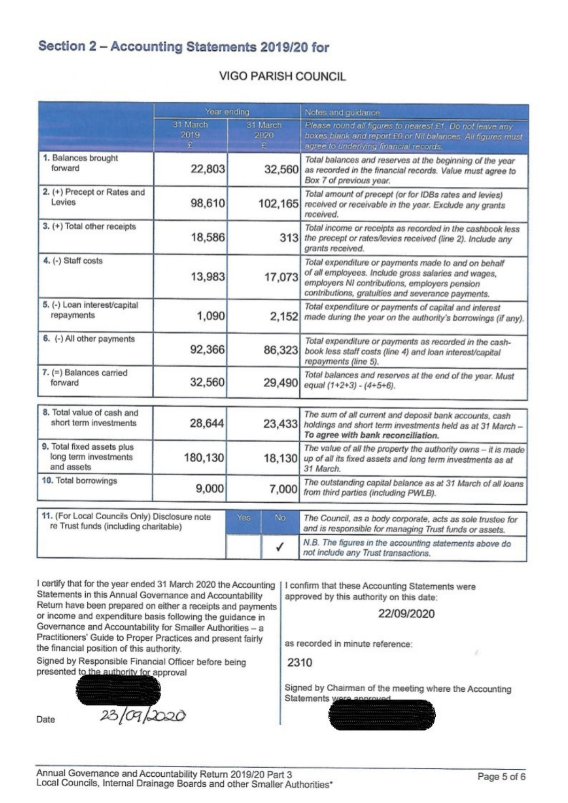# Section 2 - Accounting Statements 2019/20 for

## **VIGO PARISH COUNCIL**

|                                                                                        | Year ending           |                        | Notes and guidance                                                                                                                                                                                               |  |  |
|----------------------------------------------------------------------------------------|-----------------------|------------------------|------------------------------------------------------------------------------------------------------------------------------------------------------------------------------------------------------------------|--|--|
|                                                                                        | 31 March<br>2019<br>£ | 31 March<br>2020<br>£. | Please round all figures to nearest £1, Do not leave any.<br>boxes blank and report £0 or Nil balances. All figures must<br>agree to underlying financial records.                                               |  |  |
| 1. Balances brought<br>forward                                                         | 22,803                | 32,560                 | Total balances and reserves at the beginning of the year<br>as recorded in the financial records. Value must agree to<br>Box 7 of previous year.                                                                 |  |  |
| 2. (+) Precept or Rates and<br>Levies                                                  | 98,610                | 102,165                | Total amount of precept (or for IDBs rates and levies)<br>received or receivable in the year. Exclude any grants<br>received.                                                                                    |  |  |
| 3. (+) Total other receipts                                                            | 18,586                | 313                    | Total income or receipts as recorded in the cashbook less<br>the precept or rates/levies received (line 2). Include any<br>grants received.                                                                      |  |  |
| 4. (-) Staff costs                                                                     | 13,983                | 17,073                 | Total expenditure or payments made to and on behalf<br>of all employees. Include gross salaries and wages,<br>employers NI contributions, employers pension<br>contributions, gratuities and severance payments. |  |  |
| 5. (-) Loan interest/capital<br>repayments                                             | 1,090                 | 2,152                  | Total expenditure or payments of capital and interest<br>made during the year on the authority's borrowings (if any).                                                                                            |  |  |
| 6. (-) All other payments                                                              | 92,366                | 86,323                 | Total expenditure or payments as recorded in the cash-<br>book less staff costs (line 4) and loan interest/capital<br>repayments (line 5).                                                                       |  |  |
| 7. (=) Balances carried<br>forward                                                     | 32,560                | 29,490                 | Total balances and reserves at the end of the year. Must<br>equal $(1+2+3) - (4+5+6)$ .                                                                                                                          |  |  |
| 8. Total value of cash and<br>short term investments                                   | 28,644                | 23,433                 | The sum of all current and deposit bank accounts, cash<br>holdings and short term investments held as at 31 March -<br>To agree with bank reconciliation.                                                        |  |  |
| 9. Total fixed assets plus<br>long term investments<br>and assets                      | 180,130               | 18,130                 | The value of all the property the authority owns - it is made<br>up of all its fixed assets and long term investments as at<br>31 March.                                                                         |  |  |
| 10. Total borrowings                                                                   | 9,000                 | 7,000                  | The outstanding capital balance as at 31 March of all loans<br>from third parties (including PWLB).                                                                                                              |  |  |
| 11. (For Local Councils Only) Disclosure note<br>re Trust funds (including charitable) |                       | Yes.<br>No.            | The Council, as a body corporate, acts as sole trustee for<br>and is responsible for managing Trust funds or assets.                                                                                             |  |  |
|                                                                                        |                       | √                      | N.B. The figures in the accounting statements above do<br>not include any Trust transactions.                                                                                                                    |  |  |

I certify that for the year ended 31 March 2020 the Accounting | Statements in this Annual Governance and Accountability Return have been prepared on either a receipts and payments or income and expenditure basis following the guidance in Governance and Accountability for Smaller Authorities - a Practitioners' Guide to Proper Practices and present fairly the financial position of this authority.

Signed by Responsible Financial Officer before being presented to the authority for approval



Date

I confirm that these Accounting Statements were approved by this authority on this date:

22/09/2020

as recorded in minute reference:

2310

Signed by Chairman of the meeting where the Accounting Statements w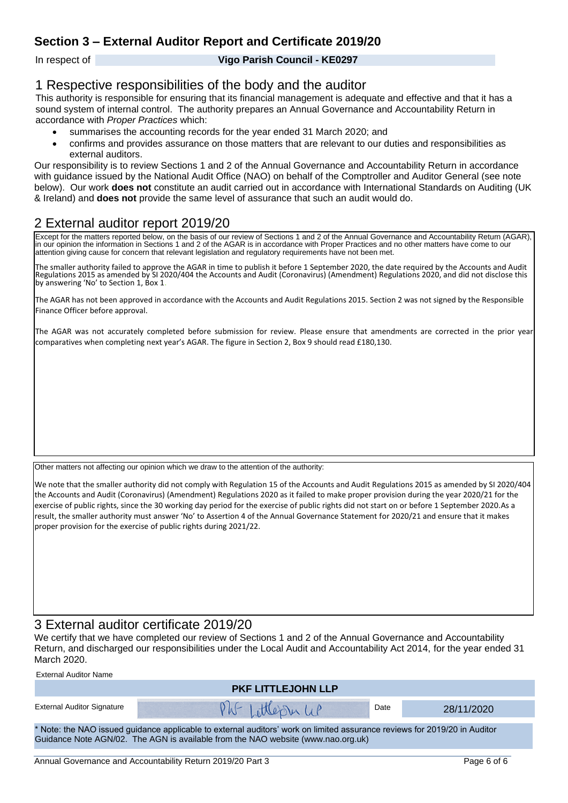### **Section 3 – External Auditor Report and Certificate 2019/20**

In respect of **Vigo Parish Council - KE0297**

#### 1 Respective responsibilities of the body and the auditor

This authority is responsible for ensuring that its financial management is adequate and effective and that it has a sound system of internal control. The authority prepares an Annual Governance and Accountability Return in accordance with *Proper Practices* which:

- summarises the accounting records for the year ended 31 March 2020; and
- confirms and provides assurance on those matters that are relevant to our duties and responsibilities as external auditors.

Our responsibility is to review Sections 1 and 2 of the Annual Governance and Accountability Return in accordance with guidance issued by the National Audit Office (NAO) on behalf of the Comptroller and Auditor General (see note below). Our work **does not** constitute an audit carried out in accordance with International Standards on Auditing (UK & Ireland) and **does not** provide the same level of assurance that such an audit would do.

### 2 External auditor report 2019/20

Except for the matters reported below, on the basis of our review of Sections 1 and 2 of the Annual Governance and Accountability Return (AGAR), in our opinion the information in Sections 1 and 2 of the AGAR is in accordance with Proper Practices and no other matters have come to our attention giving cause for concern that relevant legislation and regulatory requirements have not been met.

The smaller authority failed to approve the AGAR in time to publish it before 1 September 2020, the date required by the Accounts and Audit Regulations 2015 as amended by SI 2020/404 the Accounts and Audit (Coronavirus) (Amendment) Regulations 2020, and did not disclose this by answering 'No' to Section 1, Box 1.

The AGAR has not been approved in accordance with the Accounts and Audit Regulations 2015. Section 2 was not signed by the Responsible Finance Officer before approval.

The AGAR was not accurately completed before submission for review. Please ensure that amendments are corrected in the prior year comparatives when completing next year's AGAR. The figure in Section 2, Box 9 should read £180,130.

Other matters not affecting our opinion which we draw to the attention of the authority:

We note that the smaller authority did not comply with Regulation 15 of the Accounts and Audit Regulations 2015 as amended by SI 2020/404 the Accounts and Audit (Coronavirus) (Amendment) Regulations 2020 as it failed to make proper provision during the year 2020/21 for the exercise of public rights, since the 30 working day period for the exercise of public rights did not start on or before 1 September 2020.As a result, the smaller authority must answer 'No' to Assertion 4 of the Annual Governance Statement for 2020/21 and ensure that it makes proper provision for the exercise of public rights during 2021/22.

### 3 External auditor certificate 2019/20

We certify that we have completed our review of Sections 1 and 2 of the Annual Governance and Accountability Return, and discharged our responsibilities under the Local Audit and Accountability Act 2014, for the year ended 31 March 2020.

| <b>External Auditor Name</b>                                                                                                                                                                                  |                   |      |            |  |  |  |  |
|---------------------------------------------------------------------------------------------------------------------------------------------------------------------------------------------------------------|-------------------|------|------------|--|--|--|--|
| <b>PKF LITTLEJOHN LLP</b>                                                                                                                                                                                     |                   |      |            |  |  |  |  |
| <b>External Auditor Signature</b>                                                                                                                                                                             | Phf Littlepen Lep | Date | 28/11/2020 |  |  |  |  |
| * Note: the NAO issued guidance applicable to external auditors' work on limited assurance reviews for 2019/20 in Auditor<br>Guidance Note AGN/02. The AGN is available from the NAO website (www.nao.org.uk) |                   |      |            |  |  |  |  |